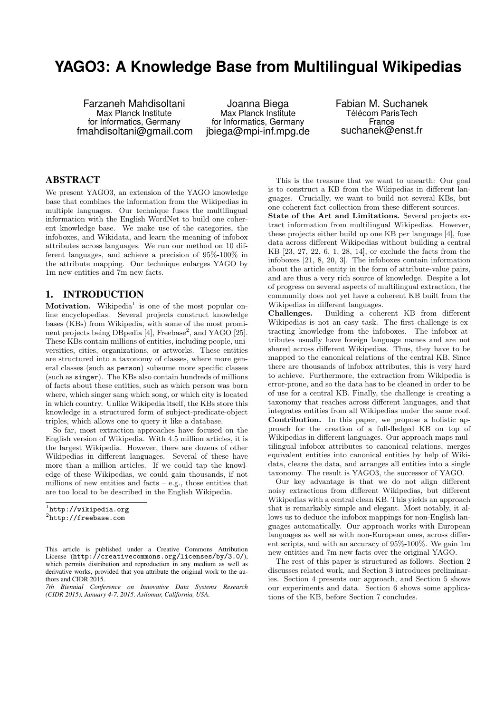# **YAGO3: A Knowledge Base from Multilingual Wikipedias**

Farzaneh Mahdisoltani Max Planck Institute for Informatics, Germany fmahdisoltani@gmail.com

Joanna Biega Max Planck Institute for Informatics, Germany jbiega@mpi-inf.mpg.de Fabian M. Suchanek Télécom ParisTech France suchanek@enst.fr

### ABSTRACT

We present YAGO3, an extension of the YAGO knowledge base that combines the information from the Wikipedias in multiple languages. Our technique fuses the multilingual information with the English WordNet to build one coherent knowledge base. We make use of the categories, the infoboxes, and Wikidata, and learn the meaning of infobox attributes across languages. We run our method on 10 different languages, and achieve a precision of 95%-100% in the attribute mapping. Our technique enlarges YAGO by 1m new entities and 7m new facts.

### 1. INTRODUCTION

Motivation. Wikipedia<sup>[1](#page-0-0)</sup> is one of the most popular online encyclopedias. Several projects construct knowledge bases (KBs) from Wikipedia, with some of the most promi-nent projects being DB pedia [\[4\]](#page-9-0), Freebase<sup>[2](#page-0-1)</sup>, and YAGO [\[25\]](#page-9-1). These KBs contain millions of entities, including people, universities, cities, organizations, or artworks. These entities are structured into a taxonomy of classes, where more general classes (such as person) subsume more specific classes (such as singer). The KBs also contain hundreds of millions of facts about these entities, such as which person was born where, which singer sang which song, or which city is located in which country. Unlike Wikipedia itself, the KBs store this knowledge in a structured form of subject-predicate-object triples, which allows one to query it like a database.

So far, most extraction approaches have focused on the English version of Wikipedia. With 4.5 million articles, it is the largest Wikipedia. However, there are dozens of other Wikipedias in different languages. Several of these have more than a million articles. If we could tap the knowledge of these Wikipedias, we could gain thousands, if not millions of new entities and facts – e.g., those entities that are too local to be described in the English Wikipedia.

<span id="page-0-1"></span><span id="page-0-0"></span>1 <http://wikipedia.org> 2 <http://freebase.com>

*7th Biennial Conference on Innovative Data Systems Research (CIDR 2015), January 4-7, 2015, Asilomar, California, USA.*

This is the treasure that we want to unearth: Our goal is to construct a KB from the Wikipedias in different languages. Crucially, we want to build not several KBs, but one coherent fact collection from these different sources.

State of the Art and Limitations. Several projects extract information from multilingual Wikipedias. However, these projects either build up one KB per language [\[4\]](#page-9-0), fuse data across different Wikipedias without building a central KB [\[23,](#page-9-2) [27,](#page-9-3) [22,](#page-9-4) [6,](#page-9-5) [1,](#page-8-0) [28,](#page-9-6) [14\]](#page-9-7), or exclude the facts from the infoboxes [\[21,](#page-9-8) [8,](#page-9-9) [20,](#page-9-10) [3\]](#page-8-1). The infoboxes contain information about the article entity in the form of attribute-value pairs, and are thus a very rich source of knowledge. Despite a lot of progress on several aspects of multilingual extraction, the community does not yet have a coherent KB built from the Wikipedias in different languages.

Challenges. Building a coherent KB from different Wikipedias is not an easy task. The first challenge is extracting knowledge from the infoboxes. The infobox attributes usually have foreign language names and are not shared across different Wikipedias. Thus, they have to be mapped to the canonical relations of the central KB. Since there are thousands of infobox attributes, this is very hard to achieve. Furthermore, the extraction from Wikipedia is error-prone, and so the data has to be cleaned in order to be of use for a central KB. Finally, the challenge is creating a taxonomy that reaches across different languages, and that integrates entities from all Wikipedias under the same roof. Contribution. In this paper, we propose a holistic approach for the creation of a full-fledged KB on top of Wikipedias in different languages. Our approach maps multilingual infobox attributes to canonical relations, merges equivalent entities into canonical entities by help of Wikidata, cleans the data, and arranges all entities into a single taxonomy. The result is YAGO3, the successor of YAGO.

Our key advantage is that we do not align different noisy extractions from different Wikipedias, but different Wikipedias with a central clean KB. This yields an approach that is remarkably simple and elegant. Most notably, it allows us to deduce the infobox mappings for non-English languages automatically. Our approach works with European languages as well as with non-European ones, across different scripts, and with an accuracy of 95%-100%. We gain 1m new entities and 7m new facts over the original YAGO.

The rest of this paper is structured as follows. Section [2](#page-1-0) discusses related work, and Section [3](#page-1-1) introduces preliminaries. Section [4](#page-2-0) presents our approach, and Section [5](#page-5-0) shows our experiments and data. Section [6](#page-8-2) shows some applications of the KB, before Section [7](#page-8-3) concludes.

This article is published under a Creative Commons Attribution License (<http://creativecommons.org/licenses/by/3.0/>), which permits distribution and reproduction in any medium as well as derivative works, provided that you attribute the original work to the authors and CIDR 2015.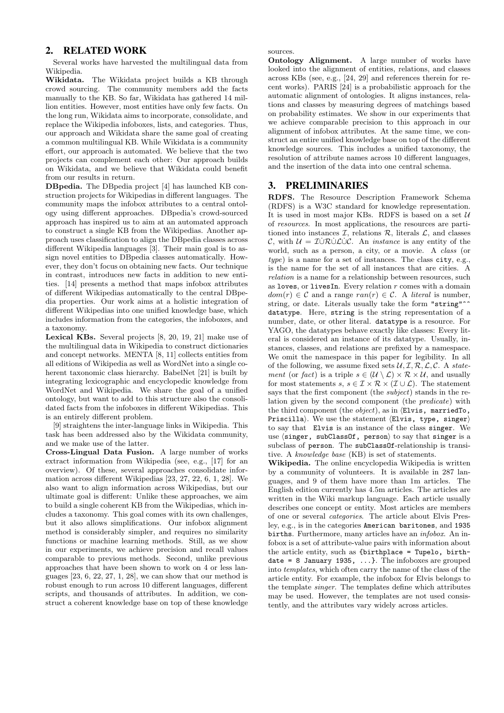### <span id="page-1-0"></span>2. RELATED WORK

Several works have harvested the multilingual data from Wikipedia.

Wikidata. The Wikidata project builds a KB through crowd sourcing. The community members add the facts manually to the KB. So far, Wikidata has gathered 14 million entities. However, most entities have only few facts. On the long run, Wikidata aims to incorporate, consolidate, and replace the Wikipedia infoboxes, lists, and categories. Thus, our approach and Wikidata share the same goal of creating a common multilingual KB. While Wikidata is a community effort, our approach is automated. We believe that the two projects can complement each other: Our approach builds on Wikidata, and we believe that Wikidata could benefit from our results in return.

DBpedia. The DBpedia project [\[4\]](#page-9-0) has launched KB construction projects for Wikipedias in different languages. The community maps the infobox attributes to a central ontology using different approaches. DBpedia's crowd-sourced approach has inspired us to aim at an automated approach to construct a single KB from the Wikipedias. Another approach uses classification to align the DBpedia classes across different Wikipedia languages [\[3\]](#page-8-1). Their main goal is to assign novel entities to DBpedia classes automatically. However, they don't focus on obtaining new facts. Our technique in contrast, introduces new facts in addition to new entities. [\[14\]](#page-9-7) presents a method that maps infobox attributes of different Wikipedias automatically to the central DBpedia properties. Our work aims at a holistic integration of different Wikipedias into one unified knowledge base, which includes information from the categories, the infoboxes, and a taxonomy.

Lexical KBs. Several projects [\[8,](#page-9-9) [20,](#page-9-10) [19,](#page-9-11) [21\]](#page-9-8) make use of the multilingual data in Wikipedia to construct dictionaries and concept networks. MENTA [\[8,](#page-9-9) [11\]](#page-9-12) collects entities from all editions of Wikipedia as well as WordNet into a single coherent taxonomic class hierarchy. BabelNet [\[21\]](#page-9-8) is built by integrating lexicographic and encyclopedic knowledge from WordNet and Wikipedia. We share the goal of a unified ontology, but want to add to this structure also the consolidated facts from the infoboxes in different Wikipedias. This is an entirely different problem.

[\[9\]](#page-9-13) straightens the inter-language links in Wikipedia. This task has been addressed also by the Wikidata community, and we make use of the latter.

Cross-Lingual Data Fusion. A large number of works extract information from Wikipedia (see, e.g., [\[17\]](#page-9-14) for an overview). Of these, several approaches consolidate information across different Wikipedias [\[23,](#page-9-2) [27,](#page-9-3) [22,](#page-9-4) [6,](#page-9-5) [1,](#page-8-0) [28\]](#page-9-6). We also want to align information across Wikipedias, but our ultimate goal is different: Unlike these approaches, we aim to build a single coherent KB from the Wikipedias, which includes a taxonomy. This goal comes with its own challenges, but it also allows simplifications. Our infobox alignment method is considerably simpler, and requires no similarity functions or machine learning methods. Still, as we show in our experiments, we achieve precision and recall values comparable to previous methods. Second, unlike previous approaches that have been shown to work on 4 or less languages  $[23, 6, 22, 27, 1, 28]$  $[23, 6, 22, 27, 1, 28]$  $[23, 6, 22, 27, 1, 28]$  $[23, 6, 22, 27, 1, 28]$  $[23, 6, 22, 27, 1, 28]$  $[23, 6, 22, 27, 1, 28]$ , we can show that our method is robust enough to run across 10 different languages, different scripts, and thousands of attributes. In addition, we construct a coherent knowledge base on top of these knowledge

sources.

Ontology Alignment. A large number of works have looked into the alignment of entities, relations, and classes across KBs (see, e.g., [\[24,](#page-9-15) [29\]](#page-9-16) and references therein for recent works). PARIS [\[24\]](#page-9-15) is a probabilistic approach for the automatic alignment of ontologies. It aligns instances, relations and classes by measuring degrees of matchings based on probability estimates. We show in our experiments that we achieve comparable precision to this approach in our alignment of infobox attributes. At the same time, we construct an entire unified knowledge base on top of the different knowledge sources. This includes a unified taxonomy, the resolution of attribute names across 10 different languages, and the insertion of the data into one central schema.

# <span id="page-1-1"></span>3. PRELIMINARIES

RDFS. The Resource Description Framework Schema (RDFS) is a W3C standard for knowledge representation. It is used in most major KBs. RDFS is based on a set  $U$ of resources. In most applications, the resources are partitioned into instances  $\mathcal{I}$ , relations  $\mathcal{R}$ , literals  $\mathcal{L}$ , and classes C, with  $U = I \cup R \cup L \cup C$ . An *instance* is any entity of the world, such as a person, a city, or a movie. A class (or type) is a name for a set of instances. The class city, e.g., is the name for the set of all instances that are cities. A relation is a name for a relationship between resources, such as loves, or livesIn. Every relation  $r$  comes with a domain  $dom(r) \in \mathcal{C}$  and a range  $ran(r) \in \mathcal{C}$ . A *literal* is number, string, or date. Literals usually take the form "string"<sup>\*</sup> datatype. Here, string is the string representation of a number, date, or other literal. datatype is a resource. For YAGO, the datatypes behave exactly like classes: Every literal is considered an instance of its datatype. Usually, instances, classes, and relations are prefixed by a namespace. We omit the namespace in this paper for legibility. In all of the following, we assume fixed sets  $\mathcal{U}, \mathcal{I}, \mathcal{R}, \mathcal{L}, \mathcal{C}$ . A state*ment* (or *fact*) is a triple  $s \in (\mathcal{U} \setminus \mathcal{L}) \times \mathcal{R} \times \mathcal{U}$ , and usually for most statements  $s, s \in \mathcal{I} \times \mathcal{R} \times (\mathcal{I} \cup \mathcal{L})$ . The statement says that the first component (the *subject*) stands in the relation given by the second component (the predicate) with the third component (the  $object$ ), as in  $\langle$ Elvis, marriedTo, Priscilla). We use the statement  $\langle$ Elvis, type, singer $\rangle$ to say that Elvis is an instance of the class singer. We use  $\langle$  singer, subClassOf, person $\rangle$  to say that singer is a subclass of person. The subClassOf-relationship is transitive. A knowledge base (KB) is set of statements.

Wikipedia. The online encyclopedia Wikipedia is written by a community of volunteers. It is available in 287 languages, and 9 of them have more than 1m articles. The English edition currently has 4.5m articles. The articles are written in the Wiki markup language. Each article usually describes one concept or entity. Most articles are members of one or several categories. The article about Elvis Presley, e.g., is in the categories American baritones, and 1935 births. Furthermore, many articles have an infobox. An infobox is a set of attribute-value pairs with information about the article entity, such as {birthplace = Tupelo, birthdate = 8 January 1935,  $\ldots$ }. The infoboxes are grouped into templates, which often carry the name of the class of the article entity. For example, the infobox for Elvis belongs to the template singer. The templates define which attributes may be used. However, the templates are not used consistently, and the attributes vary widely across articles.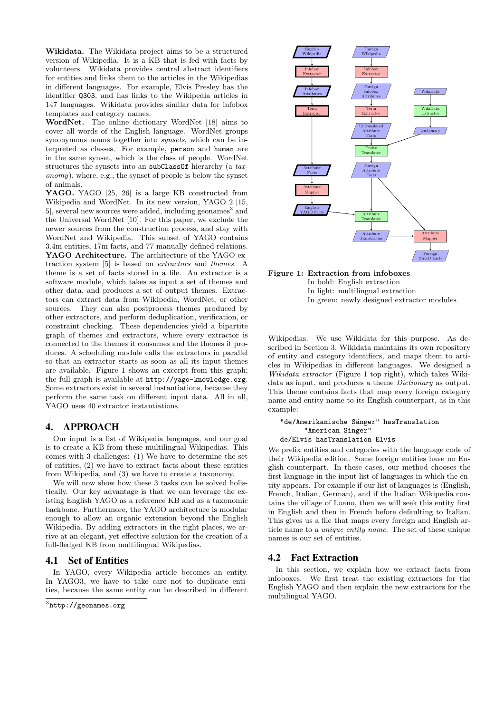Wikidata. The Wikidata project aims to be a structured version of Wikipedia. It is a KB that is fed with facts by volunteers. Wikidata provides central abstract identifiers for entities and links them to the articles in the Wikipedias in different languages. For example, Elvis Presley has the identifier Q303, and has links to the Wikipedia articles in 147 languages. Wikidata provides similar data for infobox templates and category names.

WordNet. The online dictionary WordNet [\[18\]](#page-9-17) aims to cover all words of the English language. WordNet groups synonymous nouns together into *synsets*, which can be interpreted as classes. For example, person and human are in the same synset, which is the class of people. WordNet structures the synsets into an subClassOf hierarchy (a taxonomy), where, e.g., the synset of people is below the synset of animals.

YAGO. YAGO [\[25,](#page-9-1) [26\]](#page-9-18) is a large KB constructed from Wikipedia and WordNet. In its new version, YAGO 2 [\[15,](#page-9-19) 5, several new sources were added, including geonames<sup>[3](#page-2-1)</sup> and the Universal WordNet [\[10\]](#page-9-21). For this paper, we exclude the newer sources from the construction process, and stay with WordNet and Wikipedia. This subset of YAGO contains 3.4m entities, 17m facts, and 77 manually defined relations. YAGO Architecture. The architecture of the YAGO extraction system [\[5\]](#page-9-20) is based on extractors and themes. A theme is a set of facts stored in a file. An extractor is a software module, which takes as input a set of themes and other data, and produces a set of output themes. Extractors can extract data from Wikipedia, WordNet, or other sources. They can also postprocess themes produced by other extractors, and perform deduplication, verification, or constraint checking. These dependencies yield a bipartite graph of themes and extractors, where every extractor is connected to the themes it consumes and the themes it produces. A scheduling module calls the extractors in parallel so that an extractor starts as soon as all its input themes are available. Figure [1](#page-2-2) shows an excerpt from this graph; the full graph is available at <http://yago-knowledge.org>. Some extractors exist in several instantiations, because they perform the same task on different input data. All in all, YAGO uses 40 extractor instantiations.

### <span id="page-2-0"></span>4. APPROACH

Our input is a list of Wikipedia languages, and our goal is to create a KB from these multilingual Wikipedias. This comes with 3 challenges: (1) We have to determine the set of entities, (2) we have to extract facts about these entities from Wikipedia, and (3) we have to create a taxonomy.

We will now show how these 3 tasks can be solved holistically. Our key advantage is that we can leverage the existing English YAGO as a reference KB and as a taxonomic backbone. Furthermore, the YAGO architecture is modular enough to allow an organic extension beyond the English Wikipedia. By adding extractors in the right places, we arrive at an elegant, yet effective solution for the creation of a full-fledged KB from multilingual Wikipedias.

### <span id="page-2-3"></span>4.1 Set of Entities

In YAGO, every Wikipedia article becomes an entity. In YAGO3, we have to take care not to duplicate entities, because the same entity can be described in different

<span id="page-2-1"></span>

<span id="page-2-2"></span>



Wikipedias. We use Wikidata for this purpose. As described in Section [3,](#page-1-1) Wikidata maintains its own repository of entity and category identifiers, and maps them to articles in Wikipedias in different languages. We designed a Wikidata extractor (Figure [1](#page-2-2) top right), which takes Wikidata as input, and produces a theme Dictionary as output. This theme contains facts that map every foreign category name and entity name to its English counterpart, as in this example:

#### "de/Amerikanische Sänger" hasTranslation "American Singer" de/Elvis hasTranslation Elvis

We prefix entities and categories with the language code of their Wikipedia edition. Some foreign entities have no English counterpart. In these cases, our method chooses the first language in the input list of languages in which the entity appears. For example if our list of languages is  $\langle$ English, French, Italian, German), and if the Italian Wikipedia contains the village of Loano, then we will seek this entity first in English and then in French before defaulting to Italian. This gives us a file that maps every foreign and English article name to a unique entity name. The set of these unique names is our set of entities.

### <span id="page-2-4"></span>4.2 Fact Extraction

In this section, we explain how we extract facts from infoboxes. We first treat the existing extractors for the English YAGO and then explain the new extractors for the multilingual YAGO.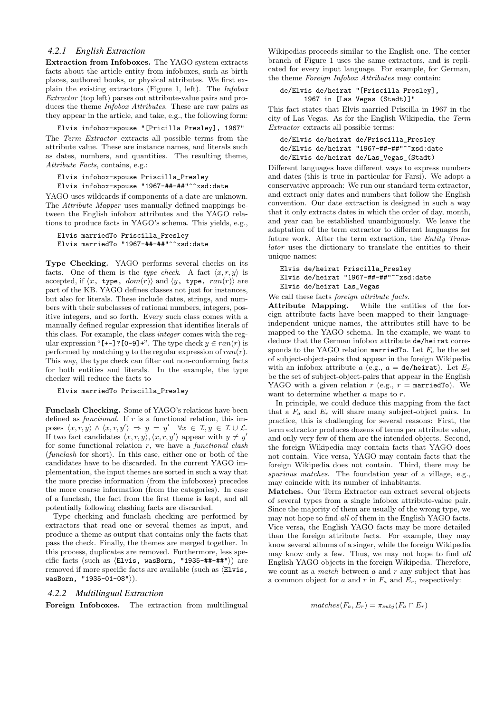#### <span id="page-3-0"></span>*4.2.1 English Extraction*

Extraction from Infoboxes. The YAGO system extracts facts about the article entity from infoboxes, such as birth places, authored books, or physical attributes. We first explain the existing extractors (Figure [1,](#page-2-2) left). The Infobox Extractor (top left) parses out attribute-value pairs and produces the theme Infobox Attributes. These are raw pairs as they appear in the article, and take, e.g., the following form:

Elvis infobox-spouse "[Pricilla Presley], 1967"

The Term Extractor extracts all possible terms from the attribute value. These are instance names, and literals such as dates, numbers, and quantities. The resulting theme, Attribute Facts, contains, e.g.:

```
Elvis infobox-spouse Priscilla_Presley
Elvis infobox-spouse "1967-##-##"^^xsd:date
```
YAGO uses wildcards if components of a date are unknown. The Attribute Mapper uses manually defined mappings between the English infobox attributes and the YAGO relations to produce facts in YAGO's schema. This yields, e.g.,

```
Elvis marriedTo Priscilla_Presley
Elvis marriedTo "1967-##-##"^^xsd:date
```
Type Checking. YAGO performs several checks on its facts. One of them is the type check. A fact  $\langle x, r, y \rangle$  is accepted, if  $\langle x, \text{ type}, \text{ dom}(r) \rangle$  and  $\langle y, \text{ type}, \text{ ran}(r) \rangle$  are part of the KB. YAGO defines classes not just for instances, but also for literals. These include dates, strings, and numbers with their subclasses of rational numbers, integers, positive integers, and so forth. Every such class comes with a manually defined regular expression that identifies literals of this class. For example, the class integer comes with the regular expression "[+-]?[0-9]+". The type check  $y \in ran(r)$  is performed by matching y to the regular expression of  $ran(r)$ . This way, the type check can filter out non-conforming facts for both entities and literals. In the example, the type checker will reduce the facts to

```
Elvis marriedTo Priscilla_Presley
```
Funclash Checking. Some of YAGO's relations have been defined as *functional*. If  $r$  is a functional relation, this imposes  $\langle x, r, y \rangle \land \langle x, r, y' \rangle \Rightarrow y = y' \quad \forall x \in \mathcal{I}, y \in \mathcal{I} \cup \mathcal{L}.$ If two fact candidates  $\langle x, r, y \rangle$ ,  $\langle x, r, y' \rangle$  appear with  $y \neq y'$ for some functional relation  $r$ , we have a *functional clash* (funclash for short). In this case, either one or both of the candidates have to be discarded. In the current YAGO implementation, the input themes are sorted in such a way that the more precise information (from the infoboxes) precedes the more coarse information (from the categories). In case of a funclash, the fact from the first theme is kept, and all potentially following clashing facts are discarded.

Type checking and funclash checking are performed by extractors that read one or several themes as input, and produce a theme as output that contains only the facts that pass the check. Finally, the themes are merged together. In this process, duplicates are removed. Furthermore, less specific facts (such as  $\langle$ Elvis, wasBorn, "1935-##-##")) are removed if more specific facts are available (such as  $\langle$ Elvis,  $wasBorn$ , "1935-01-08" $\rangle$ ).

### <span id="page-3-1"></span>*4.2.2 Multilingual Extraction*

Foreign Infoboxes. The extraction from multilingual

Wikipedias proceeds similar to the English one. The center branch of Figure [1](#page-2-2) uses the same extractors, and is replicated for every input language. For example, for German, the theme Foreign Infobox Attributes may contain:

```
de/Elvis de/heirat "[Priscilla Presley],
      1967 in [Las Vegas (Stadt)]"
```
This fact states that Elvis married Priscilla in 1967 in the city of Las Vegas. As for the English Wikipedia, the Term Extractor extracts all possible terms:

```
de/Elvis de/heirat de/Priscilla_Presley
de/Elvis de/heirat "1967-##-##"^^xsd:date
de/Elvis de/heirat de/Las_Vegas_(Stadt)
```
Different languages have different ways to express numbers and dates (this is true in particular for Farsi). We adopt a conservative approach: We run our standard term extractor, and extract only dates and numbers that follow the English convention. Our date extraction is designed in such a way that it only extracts dates in which the order of day, month, and year can be established unambiguously. We leave the adaptation of the term extractor to different languages for future work. After the term extraction, the Entity Translator uses the dictionary to translate the entities to their unique names:

```
Elvis de/heirat Priscilla_Presley
Elvis de/heirat "1967-##-##"^^xsd:date
Elvis de/heirat Las_Vegas
```
We call these facts foreign attribute facts.

Attribute Mapping. While the entities of the foreign attribute facts have been mapped to their languageindependent unique names, the attributes still have to be mapped to the YAGO schema. In the example, we want to deduce that the German infobox attribute de/heirat corresponds to the YAGO relation married To. Let  $F_a$  be the set of subject-object-pairs that appear in the foreign Wikipedia with an infobox attribute a (e.g.,  $a = \text{de/heirat}$ ). Let  $E_r$ be the set of subject-object-pairs that appear in the English YAGO with a given relation  $r$  (e.g.,  $r =$  marriedTo). We want to determine whether  $a$  maps to  $r$ .

In principle, we could deduce this mapping from the fact that a  $F_a$  and  $E_r$  will share many subject-object pairs. In practice, this is challenging for several reasons: First, the term extractor produces dozens of terms per attribute value, and only very few of them are the intended objects. Second, the foreign Wikipedia may contain facts that YAGO does not contain. Vice versa, YAGO may contain facts that the foreign Wikipedia does not contain. Third, there may be spurious matches. The foundation year of a village, e.g., may coincide with its number of inhabitants.

Matches. Our Term Extractor can extract several objects of several types from a single infobox attribute-value pair. Since the majority of them are usually of the wrong type, we may not hope to find all of them in the English YAGO facts. Vice versa, the English YAGO facts may be more detailed than the foreign attribute facts. For example, they may know several albums of a singer, while the foreign Wikipedia may know only a few. Thus, we may not hope to find all English YAGO objects in the foreign Wikipedia. Therefore, we count as a *match* between  $a$  and  $r$  any subject that has a common object for a and r in  $F_a$  and  $E_r$ , respectively:

```
matches(F_a, E_r) = \pi_{subj}(F_a \cap E_r)
```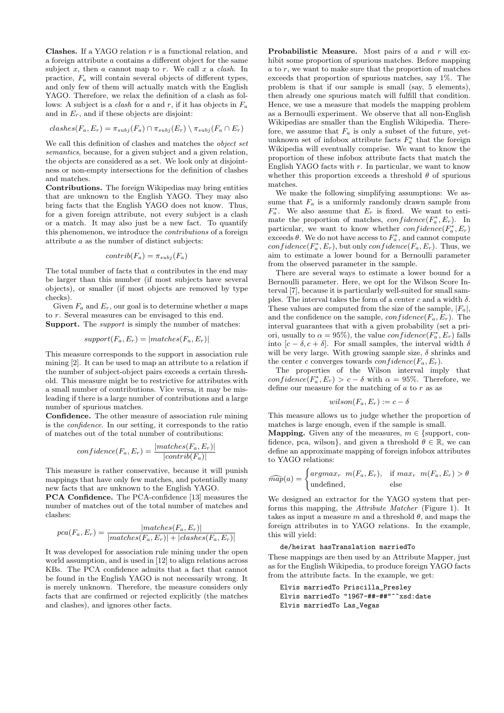**Clashes.** If a YAGO relation  $r$  is a functional relation, and a foreign attribute a contains a different object for the same subject  $x$ , then  $a$  cannot map to  $r$ . We call  $x$  a *clash*. In practice,  $F_a$  will contain several objects of different types, and only few of them will actually match with the English YAGO. Therefore, we relax the definition of a clash as follows: A subject is a *clash* for a and r, if it has objects in  $F_a$ and in  $E_r$ , and if these objects are disjoint:

$$
clashes(F_a, E_r) = \pi_{subj}(F_a) \cap \pi_{subj}(E_r) \setminus \pi_{subj}(F_a \cap E_r)
$$

We call this definition of clashes and matches the object set semantics, because, for a given subject and a given relation, the objects are considered as a set. We look only at disjointness or non-empty intersections for the definition of clashes and matches.

Contributions. The foreign Wikipedias may bring entities that are unknown to the English YAGO. They may also bring facts that the English YAGO does not know. Thus, for a given foreign attribute, not every subject is a clash or a match. It may also just be a new fact. To quantify this phenomenon, we introduce the contributions of a foreign attribute a as the number of distinct subjects:

$$
contrib(F_a) = \pi_{subj}(F_a)
$$

The total number of facts that a contributes in the end may be larger than this number (if most subjects have several objects), or smaller (if most objects are removed by type checks).

Given  $F_a$  and  $E_r$ , our goal is to determine whether a maps to r. Several measures can be envisaged to this end. Support. The *support* is simply the number of matches:

$$
support(F_a, E_r) = |matches(F_a, E_r)|
$$

This measure corresponds to the support in association rule mining [\[2\]](#page-8-4). It can be used to map an attribute to a relation if the number of subject-object pairs exceeds a certain threshold. This measure might be to restrictive for attributes with a small number of contributions. Vice versa, it may be misleading if there is a large number of contributions and a large number of spurious matches.

Confidence. The other measure of association rule mining is the confidence. In our setting, it corresponds to the ratio of matches out of the total number of contributions:

$$
confidence(F_a, E_r) = \frac{|matches(F_a, E_r)|}{|contrib(F_a)|}
$$

This measure is rather conservative, because it will punish mappings that have only few matches, and potentially many new facts that are unknown to the English YAGO.

PCA Confidence. The PCA-confidence [\[13\]](#page-9-22) measures the number of matches out of the total number of matches and clashes:

$$
pca(F_a, E_r) = \frac{|matches(F_a, E_r)|}{|matches(F_a, E_r)| + |class(F_a, E_r)|}
$$

It was developed for association rule mining under the open world assumption, and is used in [\[12\]](#page-9-23) to align relations across KBs. The PCA confidence admits that a fact that cannot be found in the English YAGO is not necessarily wrong. It is merely unknown. Therefore, the measure considers only facts that are confirmed or rejected explicitly (the matches and clashes), and ignores other facts.

Probabilistic Measure. Most pairs of  $a$  and  $r$  will exhibit some proportion of spurious matches. Before mapping  $a$  to  $r$ , we want to make sure that the proportion of matches exceeds that proportion of spurious matches, say 1%. The problem is that if our sample is small (say, 5 elements), then already one spurious match will fulfill that condition. Hence, we use a measure that models the mapping problem as a Bernoulli experiment. We observe that all non-English Wikipedias are smaller than the English Wikipedia. Therefore, we assume that  $F_a$  is only a subset of the future, yetunknown set of infobox attribute facts  $F_a^*$  that the foreign Wikipedia will eventually comprise. We want to know the proportion of these infobox attribute facts that match the English YAGO facts with  $r$ . In particular, we want to know whether this proportion exceeds a threshold  $\theta$  of spurious matches.

We make the following simplifying assumptions: We assume that  $F_a$  is a uniformly randomly drawn sample from  $F_a^*$ . We also assume that  $E_r$  is fixed. We want to estimate the proportion of matches,  $confidence(F_a^*, E_r)$ . In particular, we want to know whether  $confidence(F_a^*, E_r)$ exceeds  $\theta$ . We do not have access to  $F_a^*$ , and cannot compute confidence( $F_a^*, E_r$ ), but only confidence( $F_a, E_r$ ). Thus, we aim to estimate a lower bound for a Bernoulli parameter from the observed parameter in the sample.

There are several ways to estimate a lower bound for a Bernoulli parameter. Here, we opt for the Wilson Score Interval [\[7\]](#page-9-24), because it is particularly well-suited for small samples. The interval takes the form of a center  $c$  and a width  $\delta$ . These values are computed from the size of the sample,  $|F_a|$ , and the confidence on the sample,  $confidence(F_a, E_r)$ . The interval guarantees that with a given probability (set a priori, usually to  $\alpha = 95\%$ , the value  $confidence(F_{a}^{*}, E_{r})$  falls into  $[c - \delta, c + \delta]$ . For small samples, the interval width  $\delta$ will be very large. With growing sample size,  $\delta$  shrinks and the center c converges towards  $confidence(F_a, E_r)$ .

The properties of the Wilson interval imply that confidence( $F_a^*$ ,  $E_r$ ) >  $c - \delta$  with  $\alpha = 95\%$ . Therefore, we define our measure for the matching of  $a$  to  $r$  as as

$$
wilson(F_a, E_r) := c - \delta
$$

This measure allows us to judge whether the proportion of matches is large enough, even if the sample is small.

**Mapping.** Given any of the measures,  $m \in \{\text{support, con-}\}\$ fidence, pca, wilson}, and given a threshold  $\theta \in \mathbb{R}$ , we can define an approximate mapping of foreign infobox attributes to YAGO relations:

$$
\widehat{map}(a) = \begin{cases} argmax_r \ m(F_a, E_r), & \text{if } max_r \ m(F_a, E_r) > \theta \\ \text{undefined}, & \text{else} \end{cases}
$$

We designed an extractor for the YAGO system that performs this mapping, the Attribute Matcher (Figure [1\)](#page-2-2). It takes as input a measure  $m$  and a threshold  $\theta$ , and maps the foreign attributes in to YAGO relations. In the example, this will yield:

#### de/heirat hasTranslation marriedTo

These mappings are then used by an Attribute Mapper, just as for the English Wikipedia, to produce foreign YAGO facts from the attribute facts. In the example, we get:

```
Elvis marriedTo Priscilla_Presley
Elvis marriedTo "1967-##-##"^^xsd:date
Elvis marriedTo Las_Vegas
```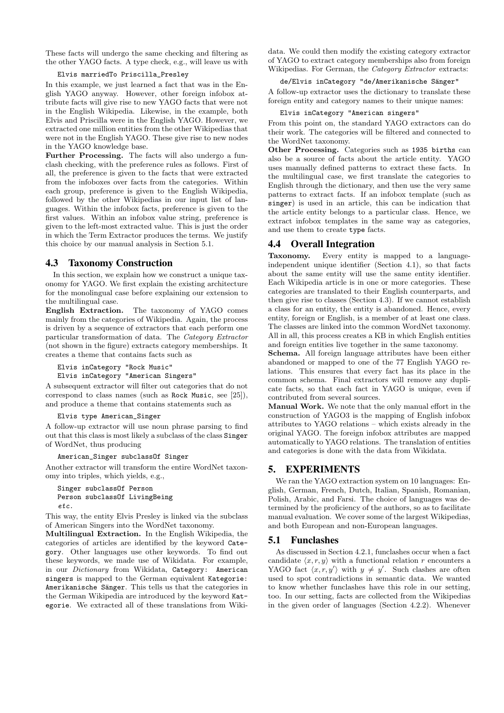These facts will undergo the same checking and filtering as the other YAGO facts. A type check, e.g., will leave us with

### Elvis marriedTo Priscilla\_Presley

In this example, we just learned a fact that was in the English YAGO anyway. However, other foreign infobox attribute facts will give rise to new YAGO facts that were not in the English Wikipedia. Likewise, in the example, both Elvis and Priscilla were in the English YAGO. However, we extracted one million entities from the other Wikipedias that were not in the English YAGO. These give rise to new nodes in the YAGO knowledge base.

Further Processing. The facts will also undergo a funclash checking, with the preference rules as follows. First of all, the preference is given to the facts that were extracted from the infoboxes over facts from the categories. Within each group, preference is given to the English Wikipedia, followed by the other Wikipedias in our input list of languages. Within the infobox facts, preference is given to the first values. Within an infobox value string, preference is given to the left-most extracted value. This is just the order in which the Term Extractor produces the terms. We justify this choice by our manual analysis in Section [5.1.](#page-5-1)

### <span id="page-5-2"></span>4.3 Taxonomy Construction

In this section, we explain how we construct a unique taxonomy for YAGO. We first explain the existing architecture for the monolingual case before explaining our extension to the multilingual case.

English Extraction. The taxonomy of YAGO comes mainly from the categories of Wikipedia. Again, the process is driven by a sequence of extractors that each perform one particular transformation of data. The Category Extractor (not shown in the figure) extracts category memberships. It creates a theme that contains facts such as

Elvis inCategory "Rock Music"

Elvis inCategory "American Singers"

A subsequent extractor will filter out categories that do not correspond to class names (such as Rock Music, see [\[25\]](#page-9-1)), and produce a theme that contains statements such as

### Elvis type American\_Singer

A follow-up extractor will use noun phrase parsing to find out that this class is most likely a subclass of the class Singer of WordNet, thus producing

### American\_Singer subclassOf Singer

Another extractor will transform the entire WordNet taxonomy into triples, which yields, e.g.,

```
Singer subclassOf Person
Person subclassOf LivingBeing
etc.
```
This way, the entity Elvis Presley is linked via the subclass of American Singers into the WordNet taxonomy.

Multilingual Extraction. In the English Wikipedia, the categories of articles are identified by the keyword Category. Other languages use other keywords. To find out these keywords, we made use of Wikidata. For example, in our Dictionary from Wikidata, Category: American singers is mapped to the German equivalent Kategorie: Amerikanische Sänger. This tells us that the categories in the German Wikipedia are introduced by the keyword Kategorie. We extracted all of these translations from Wikidata. We could then modify the existing category extractor of YAGO to extract category memberships also from foreign Wikipedias. For German, the Category Extractor extracts:

### de/Elvis inCategory "de/Amerikanische Sänger"

A follow-up extractor uses the dictionary to translate these foreign entity and category names to their unique names:

#### Elvis inCategory "American singers"

From this point on, the standard YAGO extractors can do their work. The categories will be filtered and connected to the WordNet taxonomy.

Other Processing. Categories such as 1935 births can also be a source of facts about the article entity. YAGO uses manually defined patterns to extract these facts. In the multilingual case, we first translate the categories to English through the dictionary, and then use the very same patterns to extract facts. If an infobox template (such as singer) is used in an article, this can be indication that the article entity belongs to a particular class. Hence, we extract infobox templates in the same way as categories, and use them to create type facts.

# 4.4 Overall Integration

Taxonomy. Every entity is mapped to a languageindependent unique identifier (Section [4.1\)](#page-2-3), so that facts about the same entity will use the same entity identifier. Each Wikipedia article is in one or more categories. These categories are translated to their English counterparts, and then give rise to classes (Section [4.3\)](#page-5-2). If we cannot establish a class for an entity, the entity is abandoned. Hence, every entity, foreign or English, is a member of at least one class. The classes are linked into the common WordNet taxonomy. All in all, this process creates a KB in which English entities and foreign entities live together in the same taxonomy.

Schema. All foreign language attributes have been either abandoned or mapped to one of the 77 English YAGO relations. This ensures that every fact has its place in the common schema. Final extractors will remove any duplicate facts, so that each fact in YAGO is unique, even if contributed from several sources.

Manual Work. We note that the only manual effort in the construction of YAGO3 is the mapping of English infobox attributes to YAGO relations – which exists already in the original YAGO. The foreign infobox attributes are mapped automatically to YAGO relations. The translation of entities and categories is done with the data from Wikidata.

# <span id="page-5-0"></span>5. EXPERIMENTS

We ran the YAGO extraction system on 10 languages: English, German, French, Dutch, Italian, Spanish, Romanian, Polish, Arabic, and Farsi. The choice of languages was determined by the proficiency of the authors, so as to facilitate manual evaluation. We cover some of the largest Wikipedias, and both European and non-European languages.

### <span id="page-5-1"></span>5.1 Funclashes

As discussed in Section [4.2.1,](#page-3-0) funclashes occur when a fact candidate  $\langle x, r, y \rangle$  with a functional relation r encounters a YAGO fact  $\langle x, r, y' \rangle$  with  $y \neq y'$ . Such clashes are often used to spot contradictions in semantic data. We wanted to know whether funclashes have this role in our setting, too. In our setting, facts are collected from the Wikipedias in the given order of languages (Section [4.2.2\)](#page-3-1). Whenever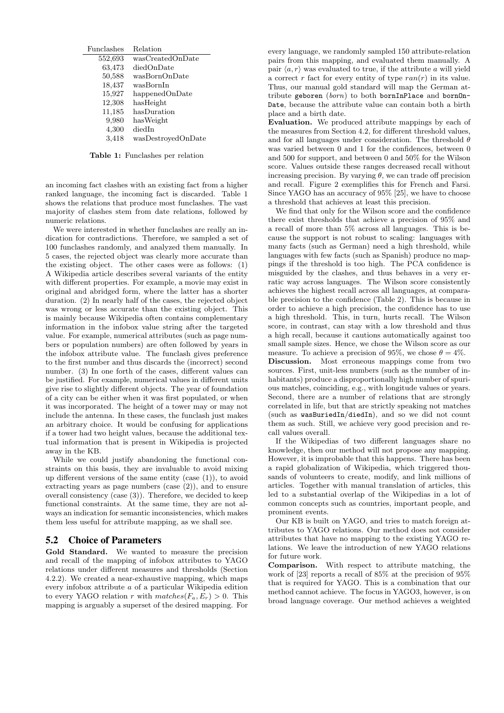<span id="page-6-0"></span>

| Funclashes | Relation           |
|------------|--------------------|
| 552,693    | wasCreatedOnDate   |
| 63,473     | diedOnDate         |
| 50,588     | wasBornOnDate      |
| 18,437     | wasBornIn          |
| 15,927     | happenedOnDate     |
| 12,308     | hasHeight          |
| 11,185     | hasDuration        |
| 9,980      | hasWeight          |
| 4,300      | diedIn             |
| 3.418      | wasDestroyedOnDate |
|            |                    |

Table 1: Funclashes per relation

an incoming fact clashes with an existing fact from a higher ranked language, the incoming fact is discarded. Table [1](#page-6-0) shows the relations that produce most funclashes. The vast majority of clashes stem from date relations, followed by numeric relations.

We were interested in whether funclashes are really an indication for contradictions. Therefore, we sampled a set of 100 funclashes randomly, and analyzed them manually. In 5 cases, the rejected object was clearly more accurate than the existing object. The other cases were as follows: (1) A Wikipedia article describes several variants of the entity with different properties. For example, a movie may exist in original and abridged form, where the latter has a shorter duration. (2) In nearly half of the cases, the rejected object was wrong or less accurate than the existing object. This is mainly because Wikipedia often contains complementary information in the infobox value string after the targeted value. For example, numerical attributes (such as page numbers or population numbers) are often followed by years in the infobox attribute value. The funclash gives preference to the first number and thus discards the (incorrect) second number. (3) In one forth of the cases, different values can be justified. For example, numerical values in different units give rise to slightly different objects. The year of foundation of a city can be either when it was first populated, or when it was incorporated. The height of a tower may or may not include the antenna. In these cases, the funclash just makes an arbitrary choice. It would be confusing for applications if a tower had two height values, because the additional textual information that is present in Wikipedia is projected away in the KB.

While we could justify abandoning the functional constraints on this basis, they are invaluable to avoid mixing up different versions of the same entity (case (1)), to avoid extracting years as page numbers (case (2)), and to ensure overall consistency (case (3)). Therefore, we decided to keep functional constraints. At the same time, they are not always an indication for semantic inconsistencies, which makes them less useful for attribute mapping, as we shall see.

### 5.2 Choice of Parameters

Gold Standard. We wanted to measure the precision and recall of the mapping of infobox attributes to YAGO relations under different measures and thresholds (Section [4.2.2\)](#page-3-1). We created a near-exhaustive mapping, which maps every infobox attribute a of a particular Wikipedia edition to every YAGO relation r with  $matches(F_a, E_r) > 0$ . This mapping is arguably a superset of the desired mapping. For

every language, we randomly sampled 150 attribute-relation pairs from this mapping, and evaluated them manually. A pair  $\langle a, r \rangle$  was evaluated to true, if the attribute a will yield a correct r fact for every entity of type  $ran(r)$  in its value. Thus, our manual gold standard will map the German attribute geboren (born) to both bornInPlace and bornOn-Date, because the attribute value can contain both a birth place and a birth date.

Evaluation. We produced attribute mappings by each of the measures from Section [4.2,](#page-2-4) for different threshold values, and for all languages under consideration. The threshold  $\theta$ was varied between 0 and 1 for the confidences, between 0 and 500 for support, and between 0 and 50% for the Wilson score. Values outside these ranges decreased recall without increasing precision. By varying  $\theta$ , we can trade off precision and recall. Figure [2](#page-7-0) exemplifies this for French and Farsi. Since YAGO has an accuracy of 95% [\[25\]](#page-9-1), we have to choose a threshold that achieves at least this precision.

We find that only for the Wilson score and the confidence there exist thresholds that achieve a precision of 95% and a recall of more than 5% across all languages. This is because the support is not robust to scaling: languages with many facts (such as German) need a high threshold, while languages with few facts (such as Spanish) produce no mappings if the threshold is too high. The PCA confidence is misguided by the clashes, and thus behaves in a very erratic way across languages. The Wilson score consistently achieves the highest recall across all languages, at comparable precision to the confidence (Table [2\)](#page-7-1). This is because in order to achieve a high precision, the confidence has to use a high threshold. This, in turn, hurts recall. The Wilson score, in contrast, can stay with a low threshold and thus a high recall, because it cautions automatically against too small sample sizes. Hence, we chose the Wilson score as our measure. To achieve a precision of 95%, we chose  $\theta = 4\%$ .

Discussion. Most erroneous mappings come from two sources. First, unit-less numbers (such as the number of inhabitants) produce a disproportionally high number of spurious matches, coinciding, e.g., with longitude values or years. Second, there are a number of relations that are strongly correlated in life, but that are strictly speaking not matches (such as wasBuriedIn/diedIn), and so we did not count them as such. Still, we achieve very good precision and recall values overall.

If the Wikipedias of two different languages share no knowledge, then our method will not propose any mapping. However, it is improbable that this happens. There has been a rapid globalization of Wikipedia, which triggered thousands of volunteers to create, modify, and link millions of articles. Together with manual translation of articles, this led to a substantial overlap of the Wikipedias in a lot of common concepts such as countries, important people, and prominent events.

Our KB is built on YAGO, and tries to match foreign attributes to YAGO relations. Our method does not consider attributes that have no mapping to the existing YAGO relations. We leave the introduction of new YAGO relations for future work.

Comparison. With respect to attribute matching, the work of [\[23\]](#page-9-2) reports a recall of 85% at the precision of 95% that is required for YAGO. This is a combination that our method cannot achieve. The focus in YAGO3, however, is on broad language coverage. Our method achieves a weighted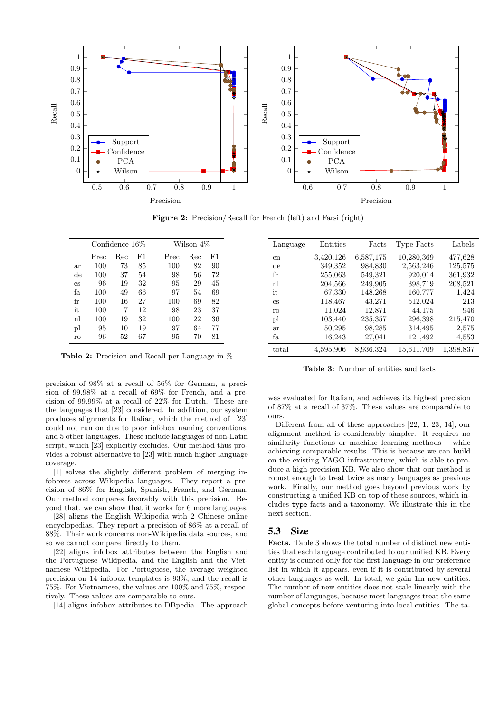<span id="page-7-0"></span>

Figure 2: Precision/Recall for French (left) and Farsi (right)

<span id="page-7-1"></span>

|    | Confidence $16\%$ |     |    |      | Wilson 4\% |    |
|----|-------------------|-----|----|------|------------|----|
|    | Prec              | Rec | F1 | Prec | Rec        | F1 |
| ar | 100               | 73  | 85 | 100  | 82         | 90 |
| de | 100               | 37  | 54 | 98   | 56         | 72 |
| es | 96                | 19  | 32 | 95   | 29         | 45 |
| fa | 100               | 49  | 66 | 97   | 54         | 69 |
| fr | 100               | 16  | 27 | 100  | 69         | 82 |
| it | 100               | 7   | 12 | 98   | 23         | 37 |
| nl | 100               | 19  | 32 | 100  | 22         | 36 |
| pl | 95                | 10  | 19 | 97   | 64         | 77 |
| ro | 96                | 52  | 67 | 95   | 70         | 81 |

Table 2: Precision and Recall per Language in %

precision of 98% at a recall of 56% for German, a precision of 99.98% at a recall of 69% for French, and a precision of 99.99% at a recall of 22% for Dutch. These are the languages that [\[23\]](#page-9-2) considered. In addition, our system produces alignments for Italian, which the method of [\[23\]](#page-9-2) could not run on due to poor infobox naming conventions, and 5 other languages. These include languages of non-Latin script, which [\[23\]](#page-9-2) explicitly excludes. Our method thus provides a robust alternative to [\[23\]](#page-9-2) with much higher language coverage.

[\[1\]](#page-8-0) solves the slightly different problem of merging infoboxes across Wikipedia languages. They report a precision of 86% for English, Spanish, French, and German. Our method compares favorably with this precision. Beyond that, we can show that it works for 6 more languages.

[\[28\]](#page-9-6) aligns the English Wikipedia with 2 Chinese online encyclopedias. They report a precision of 86% at a recall of 88%. Their work concerns non-Wikipedia data sources, and so we cannot compare directly to them.

[\[22\]](#page-9-4) aligns infobox attributes between the English and the Portuguese Wikipedia, and the English and the Vietnamese Wikipedia. For Portuguese, the average weighted precision on 14 infobox templates is 93%, and the recall is 75%. For Vietnamese, the values are 100% and 75%, respectively. These values are comparable to ours.

[\[14\]](#page-9-7) aligns infobox attributes to DBpedia. The approach

<span id="page-7-2"></span>

| Language | Entities  | Facts     | Type Facts | Labels    |
|----------|-----------|-----------|------------|-----------|
| en       | 3,420,126 | 6,587,175 | 10,280,369 | 477,628   |
| de       | 349,352   | 984,830   | 2,563,246  | 125,575   |
| fr       | 255,063   | 549,321   | 920,014    | 361,932   |
| nl       | 204,566   | 249,905   | 398,719    | 208,521   |
| it       | 67,330    | 148,268   | 160,777    | 1,424     |
| es       | 118,467   | 43,271    | 512,024    | 213       |
| ro       | 11,024    | 12,871    | 44,175     | 946       |
| pl       | 103,440   | 235,357   | 296,398    | 215,470   |
| ar       | 50,295    | 98,285    | 314,495    | 2,575     |
| fа       | 16,243    | 27,041    | 121,492    | 4,553     |
| total    | 4,595,906 | 8,936,324 | 15,611,709 | 1,398,837 |

Table 3: Number of entities and facts

was evaluated for Italian, and achieves its highest precision of 87% at a recall of 37%. These values are comparable to ours.

Different from all of these approaches [\[22,](#page-9-4) [1,](#page-8-0) [23,](#page-9-2) [14\]](#page-9-7), our alignment method is considerably simpler. It requires no similarity functions or machine learning methods – while achieving comparable results. This is because we can build on the existing YAGO infrastructure, which is able to produce a high-precision KB. We also show that our method is robust enough to treat twice as many languages as previous work. Finally, our method goes beyond previous work by constructing a unified KB on top of these sources, which includes type facts and a taxonomy. We illustrate this in the next section.

### 5.3 Size

Facts. Table [3](#page-7-2) shows the total number of distinct new entities that each language contributed to our unified KB. Every entity is counted only for the first language in our preference list in which it appears, even if it is contributed by several other languages as well. In total, we gain 1m new entities. The number of new entities does not scale linearly with the number of languages, because most languages treat the same global concepts before venturing into local entities. The ta-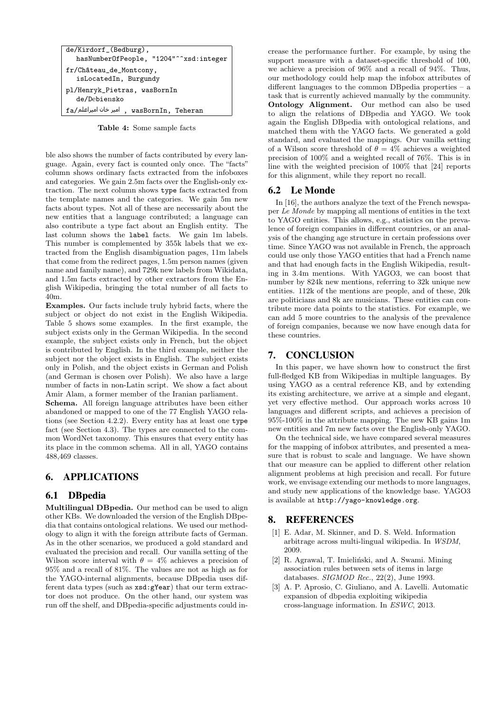| de/Kirdorf_(Bedburg),                            |  |
|--------------------------------------------------|--|
| hasNumberOfPeople, "1204"^^xsd:integer           |  |
| fr/Château_de_Montcony,<br>isLocatedIn, Burgundy |  |
| pl/Henryk_Pietras, wasBornIn<br>de/Debiensko     |  |
| fa/میر خان امیراعلم , wasBornIn, Teheran         |  |

Table 4: Some sample facts

ble also shows the number of facts contributed by every language. Again, every fact is counted only once. The "facts" column shows ordinary facts extracted from the infoboxes and categories. We gain 2.5m facts over the English-only extraction. The next column shows type facts extracted from the template names and the categories. We gain 5m new facts about types. Not all of these are necessarily about the new entities that a language contributed; a language can also contribute a type fact about an English entity. The last column shows the label facts. We gain 1m labels. This number is complemented by 355k labels that we extracted from the English disambiguation pages, 11m labels that come from the redirect pages, 1.5m person names (given name and family name), and 729k new labels from Wikidata, and 1.5m facts extracted by other extractors from the English Wikipedia, bringing the total number of all facts to 40m.

Examples. Our facts include truly hybrid facts, where the subject or object do not exist in the English Wikipedia. Table [5](#page-10-0) shows some examples. In the first example, the subject exists only in the German Wikipedia. In the second example, the subject exists only in French, but the object is contributed by English. In the third example, neither the subject nor the object exists in English. The subject exists only in Polish, and the object exists in German and Polish (and German is chosen over Polish). We also have a large number of facts in non-Latin script. We show a fact about Amir Alam, a former member of the Iranian parliament.

Schema. All foreign language attributes have been either abandoned or mapped to one of the 77 English YAGO relations (see Section [4.2.2\)](#page-3-1). Every entity has at least one type fact (see Section [4.3\)](#page-5-2). The types are connected to the common WordNet taxonomy. This ensures that every entity has its place in the common schema. All in all, YAGO contains 488,469 classes.

# <span id="page-8-2"></span>6. APPLICATIONS

# 6.1 DBpedia

Multilingual DBpedia. Our method can be used to align other KBs. We downloaded the version of the English DBpedia that contains ontological relations. We used our methodology to align it with the foreign attribute facts of German. As in the other scenarios, we produced a gold standard and evaluated the precision and recall. Our vanilla setting of the Wilson score interval with  $\theta = 4\%$  achieves a precision of 95% and a recall of 81%. The values are not as high as for the YAGO-internal alignments, because DBpedia uses different data types (such as xsd:gYear) that our term extractor does not produce. On the other hand, our system was run off the shelf, and DBpedia-specific adjustments could in-

crease the performance further. For example, by using the support measure with a dataset-specific threshold of 100, we achieve a precision of 96% and a recall of 94%. Thus, our methodology could help map the infobox attributes of different languages to the common DBpedia properties – a task that is currently achieved manually by the community. Ontology Alignment. Our method can also be used to align the relations of DBpedia and YAGO. We took again the English DBpedia with ontological relations, and matched them with the YAGO facts. We generated a gold standard, and evaluated the mappings. Our vanilla setting of a Wilson score threshold of  $\theta = 4\%$  achieves a weighted precision of 100% and a weighted recall of 76%. This is in line with the weighted precision of 100% that [\[24\]](#page-9-15) reports for this alignment, while they report no recall.

### 6.2 Le Monde

In [\[16\]](#page-9-25), the authors analyze the text of the French newspaper Le Monde by mapping all mentions of entities in the text to YAGO entities. This allows, e.g., statistics on the prevalence of foreign companies in different countries, or an analysis of the changing age structure in certain professions over time. Since YAGO was not available in French, the approach could use only those YAGO entities that had a French name and that had enough facts in the English Wikipedia, resulting in 3.4m mentions. With YAGO3, we can boost that number by 824k new mentions, referring to 32k unique new entities. 112k of the mentions are people, and of these, 20k are politicians and 8k are musicians. These entities can contribute more data points to the statistics. For example, we can add 5 more countries to the analysis of the prevalence of foreign companies, because we now have enough data for these countries.

### <span id="page-8-3"></span>7. CONCLUSION

In this paper, we have shown how to construct the first full-fledged KB from Wikipedias in multiple languages. By using YAGO as a central reference KB, and by extending its existing architecture, we arrive at a simple and elegant, yet very effective method. Our approach works across 10 languages and different scripts, and achieves a precision of 95%-100% in the attribute mapping. The new KB gains 1m new entities and 7m new facts over the English-only YAGO.

On the technical side, we have compared several measures for the mapping of infobox attributes, and presented a measure that is robust to scale and language. We have shown that our measure can be applied to different other relation alignment problems at high precision and recall. For future work, we envisage extending our methods to more languages, and study new applications of the knowledge base. YAGO3 is available at <http://yago-knowledge.org>.

### 8. REFERENCES

- <span id="page-8-0"></span>[1] E. Adar, M. Skinner, and D. S. Weld. Information arbitrage across multi-lingual wikipedia. In WSDM, 2009.
- <span id="page-8-4"></span>[2] R. Agrawal, T. Imieliński, and A. Swami. Mining association rules between sets of items in large databases. SIGMOD Rec., 22(2), June 1993.
- <span id="page-8-1"></span>[3] A. P. Aprosio, C. Giuliano, and A. Lavelli. Automatic expansion of dbpedia exploiting wikipedia cross-language information. In ESWC, 2013.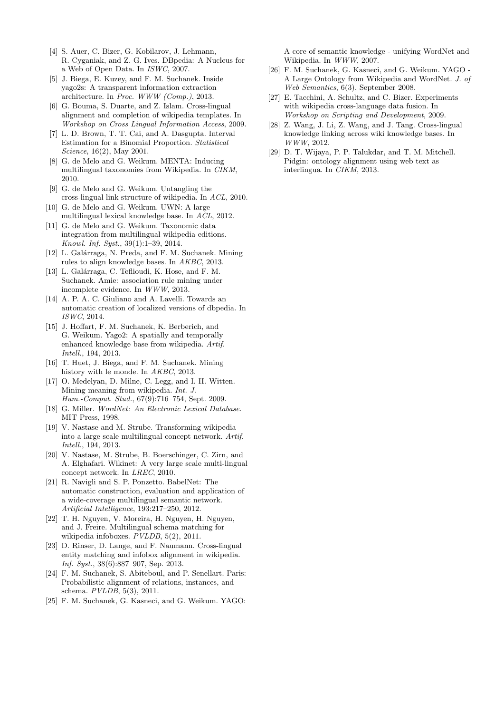- <span id="page-9-0"></span>[4] S. Auer, C. Bizer, G. Kobilarov, J. Lehmann, R. Cyganiak, and Z. G. Ives. DBpedia: A Nucleus for a Web of Open Data. In ISWC, 2007.
- <span id="page-9-20"></span>[5] J. Biega, E. Kuzey, and F. M. Suchanek. Inside yago2s: A transparent information extraction architecture. In Proc. WWW (Comp.), 2013.
- <span id="page-9-5"></span>[6] G. Bouma, S. Duarte, and Z. Islam. Cross-lingual alignment and completion of wikipedia templates. In Workshop on Cross Lingual Information Access, 2009.
- <span id="page-9-24"></span>[7] L. D. Brown, T. T. Cai, and A. Dasgupta. Interval Estimation for a Binomial Proportion. Statistical Science, 16(2), May 2001.
- <span id="page-9-9"></span>[8] G. de Melo and G. Weikum. MENTA: Inducing multilingual taxonomies from Wikipedia. In CIKM, 2010.
- <span id="page-9-13"></span>[9] G. de Melo and G. Weikum. Untangling the cross-lingual link structure of wikipedia. In ACL, 2010.
- <span id="page-9-21"></span>[10] G. de Melo and G. Weikum. UWN: A large multilingual lexical knowledge base. In ACL, 2012.
- <span id="page-9-12"></span>[11] G. de Melo and G. Weikum. Taxonomic data integration from multilingual wikipedia editions. Knowl. Inf. Syst., 39(1):1–39, 2014.
- <span id="page-9-23"></span>[12] L. Galárraga, N. Preda, and F. M. Suchanek. Mining rules to align knowledge bases. In AKBC, 2013.
- <span id="page-9-22"></span>[13] L. Galárraga, C. Teflioudi, K. Hose, and F. M. Suchanek. Amie: association rule mining under incomplete evidence. In WWW, 2013.
- <span id="page-9-7"></span>[14] A. P. A. C. Giuliano and A. Lavelli. Towards an automatic creation of localized versions of dbpedia. In ISWC, 2014.
- <span id="page-9-19"></span>[15] J. Hoffart, F. M. Suchanek, K. Berberich, and G. Weikum. Yago2: A spatially and temporally enhanced knowledge base from wikipedia. Artif. Intell., 194, 2013.
- <span id="page-9-25"></span>[16] T. Huet, J. Biega, and F. M. Suchanek. Mining history with le monde. In *AKBC*, 2013.
- <span id="page-9-14"></span>[17] O. Medelyan, D. Milne, C. Legg, and I. H. Witten. Mining meaning from wikipedia. Int. J. Hum.-Comput. Stud., 67(9):716–754, Sept. 2009.
- <span id="page-9-17"></span>[18] G. Miller. WordNet: An Electronic Lexical Database. MIT Press, 1998.
- <span id="page-9-11"></span>[19] V. Nastase and M. Strube. Transforming wikipedia into a large scale multilingual concept network. Artif. Intell., 194, 2013.
- <span id="page-9-10"></span>[20] V. Nastase, M. Strube, B. Boerschinger, C. Zirn, and A. Elghafari. Wikinet: A very large scale multi-lingual concept network. In LREC, 2010.
- <span id="page-9-8"></span>[21] R. Navigli and S. P. Ponzetto. BabelNet: The automatic construction, evaluation and application of a wide-coverage multilingual semantic network. Artificial Intelligence, 193:217–250, 2012.
- <span id="page-9-4"></span>[22] T. H. Nguyen, V. Moreira, H. Nguyen, H. Nguyen, and J. Freire. Multilingual schema matching for wikipedia infoboxes.  $PVLDB$ , 5(2), 2011.
- <span id="page-9-2"></span>[23] D. Rinser, D. Lange, and F. Naumann. Cross-lingual entity matching and infobox alignment in wikipedia. Inf. Syst., 38(6):887–907, Sep. 2013.
- <span id="page-9-15"></span>[24] F. M. Suchanek, S. Abiteboul, and P. Senellart. Paris: Probabilistic alignment of relations, instances, and schema. PVLDB, 5(3), 2011.
- <span id="page-9-1"></span>[25] F. M. Suchanek, G. Kasneci, and G. Weikum. YAGO:

A core of semantic knowledge - unifying WordNet and Wikipedia. In WWW, 2007.

- <span id="page-9-18"></span>[26] F. M. Suchanek, G. Kasneci, and G. Weikum. YAGO - A Large Ontology from Wikipedia and WordNet. J. of Web Semantics, 6(3), September 2008.
- <span id="page-9-3"></span>[27] E. Tacchini, A. Schultz, and C. Bizer. Experiments with wikipedia cross-language data fusion. In Workshop on Scripting and Development, 2009.
- <span id="page-9-6"></span>[28] Z. Wang, J. Li, Z. Wang, and J. Tang. Cross-lingual knowledge linking across wiki knowledge bases. In WWW, 2012.
- <span id="page-9-16"></span>[29] D. T. Wijaya, P. P. Talukdar, and T. M. Mitchell. Pidgin: ontology alignment using web text as interlingua. In CIKM, 2013.